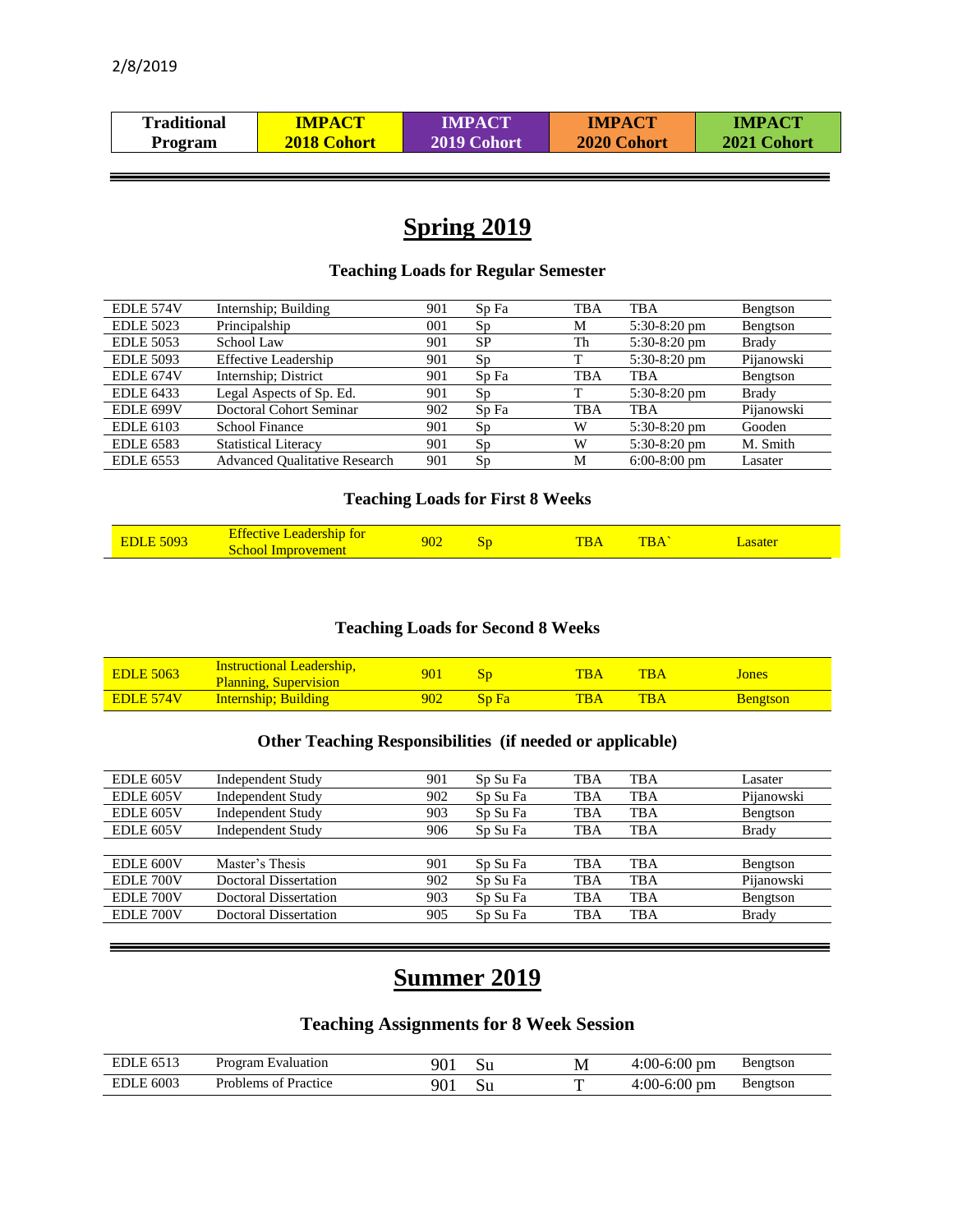| Traditional    | <b>IMPACT</b> | IMPACT      | <b>IMPACT</b> | <b>IMPACT</b> |
|----------------|---------------|-------------|---------------|---------------|
| <b>Program</b> | 2018 Cohort   | 2019 Cohort | 2020 Cohort   | 2021 Cohort   |

# **Spring 2019**

## **Teaching Loads for Regular Semester**

| EDLE 574V        | Internship; Building                 | 901 | Sp Fa     | <b>TBA</b> | <b>TBA</b>     | Bengtson     |
|------------------|--------------------------------------|-----|-----------|------------|----------------|--------------|
| <b>EDLE 5023</b> | Principalship                        | 001 | Sp        | M          | $5:30-8:20$ pm | Bengtson     |
| <b>EDLE 5053</b> | School Law                           | 901 | <b>SP</b> | Th         | 5:30-8:20 pm   | <b>Brady</b> |
| <b>EDLE 5093</b> | <b>Effective Leadership</b>          | 901 | Sp        |            | 5:30-8:20 pm   | Pijanowski   |
| EDLE 674V        | Internship; District                 | 901 | Sp Fa     | <b>TBA</b> | <b>TBA</b>     | Bengtson     |
| <b>EDLE 6433</b> | Legal Aspects of Sp. Ed.             | 901 | Sp        | m          | $5:30-8:20$ pm | <b>Brady</b> |
| EDLE 699V        | Doctoral Cohort Seminar              | 902 | Sp Fa     | <b>TBA</b> | <b>TBA</b>     | Pijanowski   |
| <b>EDLE 6103</b> | <b>School Finance</b>                | 901 | Sp        | W          | 5:30-8:20 pm   | Gooden       |
| <b>EDLE 6583</b> | <b>Statistical Literacy</b>          | 901 | Sp        | W          | 5:30-8:20 pm   | M. Smith     |
| <b>EDLE 6553</b> | <b>Advanced Oualitative Research</b> | 901 | Sp        | M          | $6:00-8:00$ pm | Lasater      |

## **Teaching Loads for First 8 Weeks**

| <b>Leadership for</b><br>Effective<br><b>EDLE 5093</b><br>School Improvement | 902 | эť | TR.<br>DF | $\mathbf{TBA}$ | asater |  |
|------------------------------------------------------------------------------|-----|----|-----------|----------------|--------|--|
|------------------------------------------------------------------------------|-----|----|-----------|----------------|--------|--|

## **Teaching Loads for Second 8 Weeks**

| <b>EDLE 5063</b> | <b>Instructional Leadership,</b><br><b>Planning, Supervision</b> | 901 |                        | <b>TBA</b> | <b>TRA</b> | Jones           |
|------------------|------------------------------------------------------------------|-----|------------------------|------------|------------|-----------------|
| EDLE 574V        | <b>Internship</b> ; Building                                     | 902 | <b>Sp</b> <sub>B</sub> | TBA        | <b>TBA</b> | <b>Bengtson</b> |

## **Other Teaching Responsibilities (if needed or applicable)**

| EDLE 605V | <b>Independent Study</b>     | 901 | Sp Su Fa | TBA        | TBA        | Lasater      |
|-----------|------------------------------|-----|----------|------------|------------|--------------|
| EDLE 605V | <b>Independent Study</b>     | 902 | Sp Su Fa | <b>TBA</b> | <b>TBA</b> | Pijanowski   |
| EDLE 605V | <b>Independent Study</b>     | 903 | Sp Su Fa | <b>TBA</b> | <b>TBA</b> | Bengtson     |
| EDLE 605V | <b>Independent Study</b>     | 906 | Sp Su Fa | <b>TBA</b> | <b>TBA</b> | <b>Brady</b> |
|           |                              |     |          |            |            |              |
| EDLE 600V | Master's Thesis              | 901 | Sp Su Fa | <b>TBA</b> | <b>TBA</b> | Bengtson     |
| EDLE 700V | <b>Doctoral Dissertation</b> | 902 | Sp Su Fa | <b>TBA</b> | <b>TBA</b> | Pijanowski   |
| EDLE 700V | <b>Doctoral Dissertation</b> | 903 | Sp Su Fa | <b>TBA</b> | <b>TBA</b> | Bengtson     |
| EDLE 700V | <b>Doctoral Dissertation</b> | 905 | Sp Su Fa | TBA        | <b>TBA</b> | <b>Brady</b> |
|           |                              |     |          |            |            |              |

# **Summer 2019**

## **Teaching Assignments for 8 Week Session**

| EDLE 651?                                 | Program Evaluation         | 901             |    | $4:00-6:00$<br>' pm | Bengtson |
|-------------------------------------------|----------------------------|-----------------|----|---------------------|----------|
| . 6003<br>$\overline{\phantom{0}}$<br>EDI | Problems<br>Practice<br>ΩŤ | 90 <sub>1</sub> | υu | 4:00-6:00<br>pm     | Bengtson |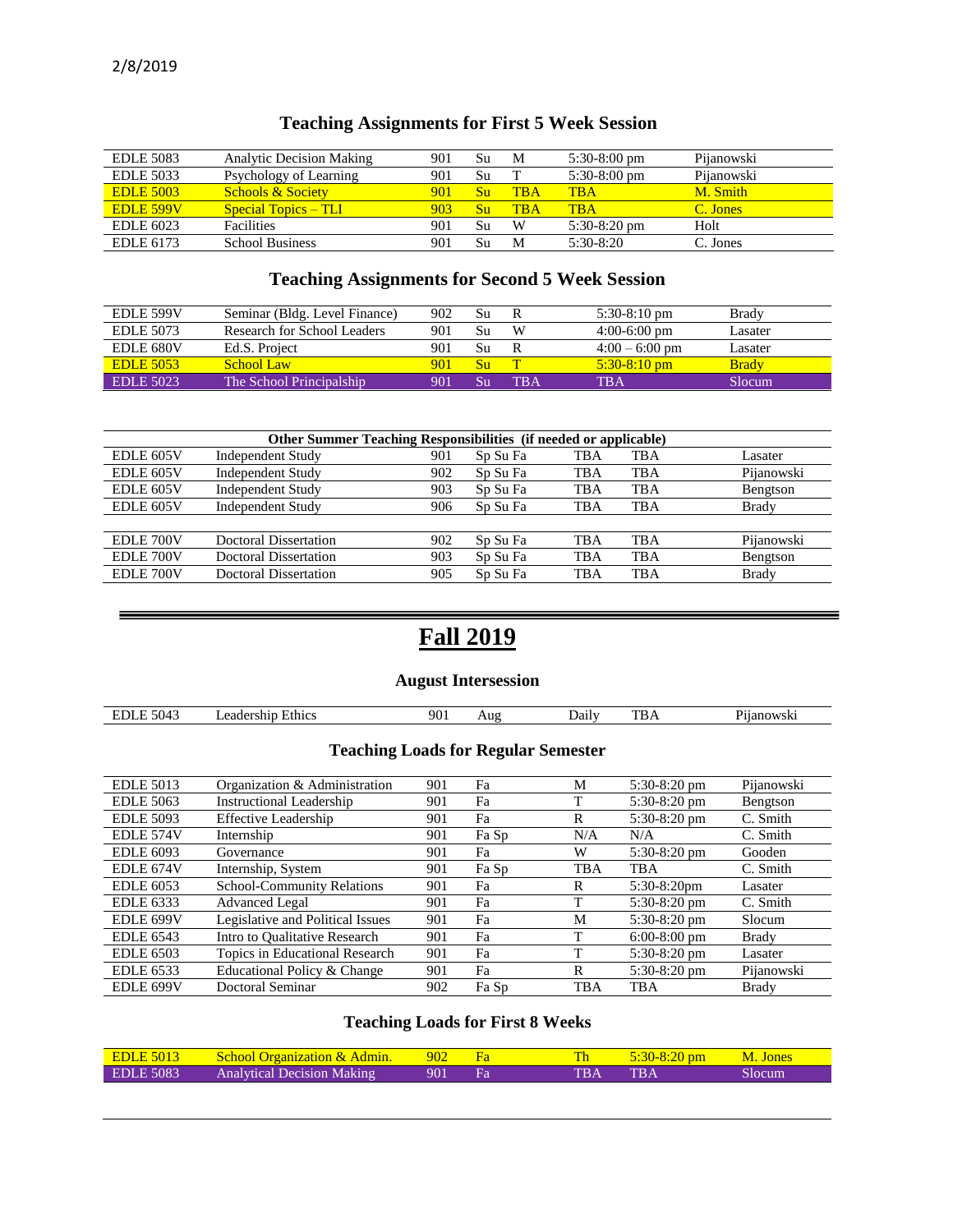| <b>EDLE 5083</b> | <b>Analytic Decision Making</b> | 901 | Su       | M          | $5:30-8:00$ pm | Pijanowski |
|------------------|---------------------------------|-----|----------|------------|----------------|------------|
| <b>EDLE 5033</b> | Psychology of Learning          | 901 | Su       |            | $5:30-8:00$ pm | Pijanowski |
| <b>EDLE 5003</b> | <b>Schools &amp; Society</b>    | 901 | Su       | <b>TBA</b> | TB A           | M. Smith   |
| <b>EDLE 599V</b> | <b>Special Topics – TLI</b>     | 903 | $\rm Sn$ | <b>TBA</b> | <b>TRA</b>     | C. Jones   |
| EDLE 6023        | <b>Facilities</b>               | 901 | Su       | W          | $5:30-8:20$ pm | Holt       |
| EDLE 6173        | <b>School Business</b>          | 901 |          | M          | $5:30-8:20$    | C. Jones   |

## **Teaching Assignments for First 5 Week Session**

## **Teaching Assignments for Second 5 Week Session**

| <b>EDLE 599V</b> | Seminar (Bldg. Level Finance) | 902 | Su |       | $5:30-8:10$ pm   | <b>Brady</b> |
|------------------|-------------------------------|-----|----|-------|------------------|--------------|
| EDLE 5073        | Research for School Leaders   | 901 | Su | W     | $4:00-6:00$ pm   | Lasater      |
| EDLE 680V        | Ed.S. Project                 | 901 | Su |       | $4:00 - 6:00$ pm | Lasater      |
| <b>EDLE 5053</b> | School Law                    | 901 | Su |       | $5:30-8:10$ pm   | <b>Brady</b> |
| EDLE 5023        | The School Principalship      | 901 |    | TR A' | TBA              | Slocum       |

|           | <b>Other Summer Teaching Responsibilities</b> (if needed or applicable) |     |          |     |            |              |
|-----------|-------------------------------------------------------------------------|-----|----------|-----|------------|--------------|
| EDLE 605V | <b>Independent Study</b>                                                | 901 | Sp Su Fa | TBA | <b>TBA</b> | Lasater      |
| EDLE 605V | <b>Independent Study</b>                                                | 902 | Sp Su Fa | TBA | TBA        | Pijanowski   |
| EDLE 605V | <b>Independent Study</b>                                                | 903 | Sp Su Fa | TBA | <b>TBA</b> | Bengtson     |
| EDLE 605V | <b>Independent Study</b>                                                | 906 | Sp Su Fa | TBA | <b>TBA</b> | <b>Brady</b> |
|           |                                                                         |     |          |     |            |              |
| EDLE 700V | <b>Doctoral Dissertation</b>                                            | 902 | Sp Su Fa | TBA | <b>TBA</b> | Pijanowski   |
| EDLE 700V | <b>Doctoral Dissertation</b>                                            | 903 | Sp Su Fa | TBA | <b>TBA</b> | Bengtson     |
| EDLE 700V | <b>Doctoral Dissertation</b>                                            | 905 | Sp Su Fa | TBA | <b>TBA</b> | <b>Brady</b> |

# **Fall 2019**

## **August Intersession**

| -<br>5043<br>∸ | Ethics<br>an.<br>занет<br>,,,, | 90. | Aug | Jailv | <b>TIMES</b> | $\sim$ |
|----------------|--------------------------------|-----|-----|-------|--------------|--------|
|                |                                |     |     |       |              |        |

## **Teaching Loads for Regular Semester**

| <b>EDLE 5013</b> | Organization & Administration     | 901 | Fa    | М          | $5:30-8:20$ pm | Pijanowski   |
|------------------|-----------------------------------|-----|-------|------------|----------------|--------------|
| <b>EDLE 5063</b> | <b>Instructional Leadership</b>   | 901 | Fa    |            | $5:30-8:20$ pm | Bengtson     |
| <b>EDLE 5093</b> | <b>Effective Leadership</b>       | 901 | Fa    | R          | $5:30-8:20$ pm | C. Smith     |
| EDLE 574V        | Internship                        | 901 | Fa Sp | N/A        | N/A            | C. Smith     |
| <b>EDLE 6093</b> | Governance                        | 901 | Fa    | W          | $5:30-8:20$ pm | Gooden       |
| EDLE 674V        | Internship, System                | 901 | Fa Sp | TBA        | TBA            | C. Smith     |
| <b>EDLE 6053</b> | <b>School-Community Relations</b> | 901 | Fa    | R          | $5:30-8:20$ pm | Lasater      |
| <b>EDLE</b> 6333 | <b>Advanced Legal</b>             | 901 | Fa    |            | $5:30-8:20$ pm | C. Smith     |
| EDLE 699V        | Legislative and Political Issues  | 901 | Fa    | М          | $5:30-8:20$ pm | Slocum       |
| <b>EDLE 6543</b> | Intro to Oualitative Research     | 901 | Fa    | ᠇          | $6:00-8:00$ pm | <b>Brady</b> |
| <b>EDLE 6503</b> | Topics in Educational Research    | 901 | Fa    |            | $5:30-8:20$ pm | Lasater      |
| <b>EDLE 6533</b> | Educational Policy & Change       | 901 | Fa    | R          | $5:30-8:20$ pm | Pijanowski   |
| <b>EDLE 699V</b> | Doctoral Seminar                  | 902 | Fa Sp | <b>TBA</b> | <b>TBA</b>     | <b>Brady</b> |

## **Teaching Loads for First 8 Weeks**

| <b>EDLE 5013</b> | <b>School Organization &amp; Admin.</b> | $\sqrt{902}$ |      | $5:30-8:20$ pm | M. Jones |
|------------------|-----------------------------------------|--------------|------|----------------|----------|
| EDLE 5083        | Analytical Decision Making              | 901          | TR A | TR A           | slocum   |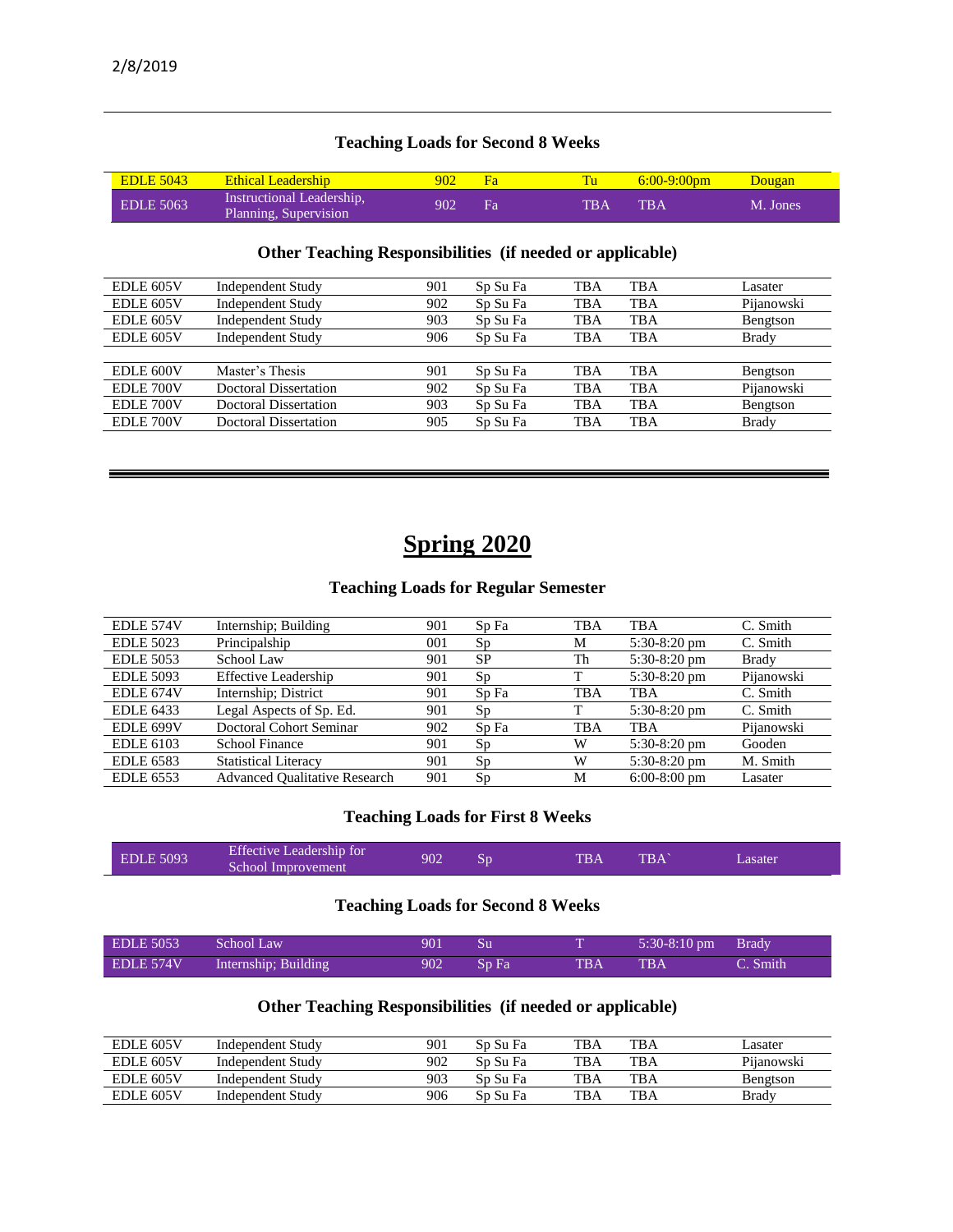## **Teaching Loads for Second 8 Weeks**

| <b>EDLE 5043</b> | Ethical Leadership                                 | 902 |    |            | $6:00-9:00$ pm | Dougan   |
|------------------|----------------------------------------------------|-----|----|------------|----------------|----------|
| <b>EDLE 5063</b> | Instructional Leadership,<br>Planning, Supervision | 902 | Fа | <b>TBA</b> | <b>TRA</b>     | M. Jones |

## **Other Teaching Responsibilities (if needed or applicable)**

| EDLE 605V | <b>Independent Study</b>     | 901 | Sp Su Fa | TBA        | <b>TBA</b> | Lasater      |
|-----------|------------------------------|-----|----------|------------|------------|--------------|
| EDLE 605V | <b>Independent Study</b>     | 902 | Sp Su Fa | <b>TBA</b> | <b>TBA</b> | Pijanowski   |
| EDLE 605V | <b>Independent Study</b>     | 903 | Sp Su Fa | TBA        | <b>TBA</b> | Bengtson     |
| EDLE 605V | <b>Independent Study</b>     | 906 | Sp Su Fa | TBA        | <b>TBA</b> | <b>Brady</b> |
|           |                              |     |          |            |            |              |
| EDLE 600V | Master's Thesis              | 901 | Sp Su Fa | <b>TBA</b> | <b>TBA</b> | Bengtson     |
| EDLE 700V | Doctoral Dissertation        | 902 | Sp Su Fa | <b>TBA</b> | <b>TBA</b> | Pijanowski   |
| EDLE 700V | Doctoral Dissertation        | 903 | Sp Su Fa | TBA        | <b>TBA</b> | Bengtson     |
| EDLE 700V | <b>Doctoral Dissertation</b> | 905 | Sp Su Fa | TBA        | <b>TBA</b> | <b>Brady</b> |
|           |                              |     |          |            |            |              |

## **Spring 2020**

═

#### **Teaching Loads for Regular Semester**

| EDLE 574V        | Internship; Building                 | 901 | Sp Fa     | <b>TBA</b> | TBA            | C. Smith     |
|------------------|--------------------------------------|-----|-----------|------------|----------------|--------------|
| <b>EDLE 5023</b> | Principalship                        | 001 | Sp        | М          | $5:30-8:20$ pm | C. Smith     |
| <b>EDLE 5053</b> | School Law                           | 901 | <b>SP</b> | Th         | 5:30-8:20 pm   | <b>Brady</b> |
| <b>EDLE 5093</b> | <b>Effective Leadership</b>          | 901 | Sp        |            | 5:30-8:20 pm   | Pijanowski   |
| EDLE 674V        | Internship; District                 | 901 | Sp Fa     | TBA        | <b>TBA</b>     | C. Smith     |
| <b>EDLE 6433</b> | Legal Aspects of Sp. Ed.             | 901 | Sp        | ᠇᠇         | $5:30-8:20$ pm | C. Smith     |
| EDLE 699V        | Doctoral Cohort Seminar              | 902 | Sp Fa     | TBA        | <b>TBA</b>     | Pijanowski   |
| <b>EDLE 6103</b> | <b>School Finance</b>                | 901 | Sp        | W          | 5:30-8:20 pm   | Gooden       |
| <b>EDLE 6583</b> | <b>Statistical Literacy</b>          | 901 | Sp        | W          | 5:30-8:20 pm   | M. Smith     |
| <b>EDLE 6553</b> | <b>Advanced Qualitative Research</b> | 901 | Sp        | M          | $6:00-8:00$ pm | Lasater      |

## **Teaching Loads for First 8 Weeks**

| <b>EDLE</b> 5093 | Effective Leadership for<br>School Improvement | 902 |  | <b>TBA</b> | <b>TRA</b> | Lasater. |
|------------------|------------------------------------------------|-----|--|------------|------------|----------|
|------------------|------------------------------------------------|-----|--|------------|------------|----------|

#### **Teaching Loads for Second 8 Weeks**

| EDLE 5053 | School Law           | $\sqrt{901}$ Su |       | $5:30-8:10 \text{ pm}$ Brady |          |
|-----------|----------------------|-----------------|-------|------------------------------|----------|
| EDLE 574V | Internship; Building | 902 Sp Fa       | TBA - | <b>TRA</b>                   | C. Smith |

## **Other Teaching Responsibilities (if needed or applicable)**

| <b>EDLE 605V</b> | Independent Study | 901 | Sp Su Fa | TBA | TBA        | Lasater    |
|------------------|-------------------|-----|----------|-----|------------|------------|
| <b>EDLE 605V</b> | Independent Study | 902 | Sp Su Fa | TBA | TBA        | Pijanowski |
| <b>EDLE 605V</b> | Independent Study | 903 | Sp Su Fa | TBA | <b>TBA</b> | Bengtson   |
| <b>EDLE 605V</b> | Independent Study | 906 | Sp Su Fa | TBA | TBA        | Brady      |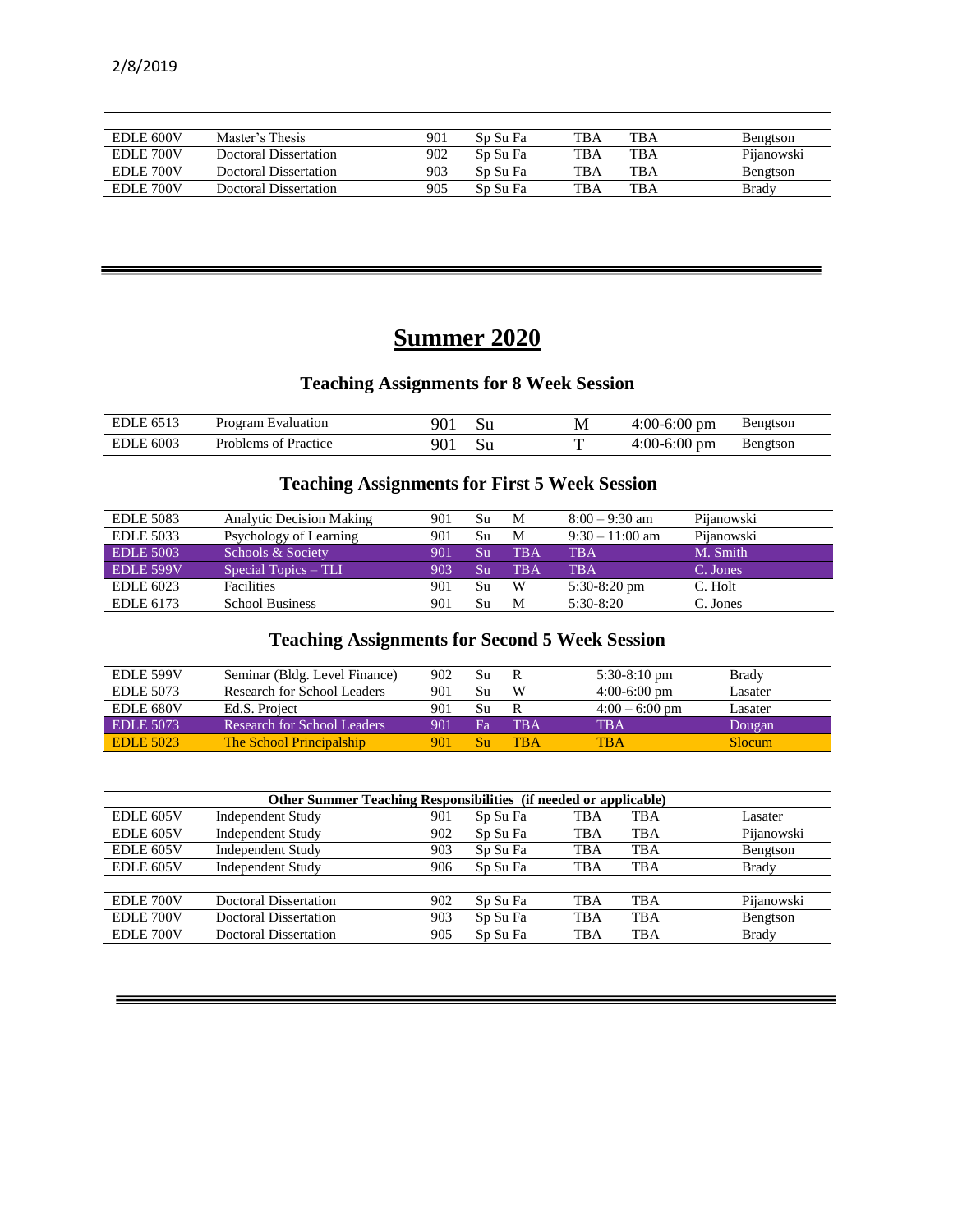| EDLE 600V | Master's Thesis       | 901 | Sp Su Fa | <b>TBA</b> | <b>TBA</b> | Bengtson     |
|-----------|-----------------------|-----|----------|------------|------------|--------------|
| EDLE 700V | Doctoral Dissertation | 902 | Sn Su Fa | TBA        | <b>TBA</b> | Pijanowski   |
| EDLE 700V | Doctoral Dissertation | 903 | Sp Su Fa | TBA        | <b>TBA</b> | Bengtson     |
| EDLE 700V | Doctoral Dissertation | 905 | Sp Su Fa | TBA        | TBA        | <b>Brady</b> |
|           |                       |     |          |            |            |              |

# **Summer 2020**

## **Teaching Assignments for 8 Week Session**

| $- - - -$<br>EDL | Program Evaluation         | ∩∩∗      |    | M | $4:00-6:00$<br>') pm         | Bengtson |
|------------------|----------------------------|----------|----|---|------------------------------|----------|
| . 6003<br>EDI.   | Practice<br>Problems<br>ΩŤ | $\Omega$ | ນu |   | $-6:00$<br>$1:00-x$<br>(ט pm | Bengtson |

## **Teaching Assignments for First 5 Week Session**

| <b>EDLE 5083</b> | <b>Analytic Decision Making</b> | 901 | Su | M          | $8:00 - 9:30$ am  | Pijanowski |
|------------------|---------------------------------|-----|----|------------|-------------------|------------|
| <b>EDLE 5033</b> | Psychology of Learning          | 901 | Su | M          | $9:30 - 11:00$ am | Pijanowski |
| <b>EDLE 5003</b> | Schools & Society               | 901 | Su | <b>TBA</b> | <b>TBA</b>        | M. Smith   |
| EDLE 599V        | Special Topics – TLI            | 903 | Su | <b>TRA</b> | TB A              | C. Jones   |
| <b>EDLE 6023</b> | <b>Facilities</b>               | 901 | Su | W          | $5:30-8:20$ pm    | C. Holt    |
| EDLE 6173        | <b>School Business</b>          | 901 | Su | M          | $5:30-8:20$       | C. Jones   |

## **Teaching Assignments for Second 5 Week Session**

| EDLE 599V        | Seminar (Bldg. Level Finance) | 902 | Su | R   | $5:30-8:10$ pm   | <b>Brady</b> |
|------------------|-------------------------------|-----|----|-----|------------------|--------------|
| EDLE 5073        | Research for School Leaders   | 901 | Su | W   | $4:00-6:00$ pm   | Lasater      |
| <b>EDLE 680V</b> | Ed.S. Project                 | 901 | Su | R   | $4:00 - 6:00$ pm | Lasater      |
| <b>EDLE 5073</b> | Research for School Leaders   | 901 | Fа | TBA | TBA              | Dougan       |
| <b>EDLE 5023</b> | The School Principalship      | 901 | Su | TBA | TBA              | Slocum.      |

|           | <b>Other Summer Teaching Responsibilities (if needed or applicable)</b> |     |          |     |     |              |  |  |  |
|-----------|-------------------------------------------------------------------------|-----|----------|-----|-----|--------------|--|--|--|
| EDLE 605V | <b>Independent Study</b>                                                | 901 | Sp Su Fa | TBA | TBA | Lasater      |  |  |  |
| EDLE 605V | <b>Independent Study</b>                                                | 902 | Sp Su Fa | TBA | TBA | Pijanowski   |  |  |  |
| EDLE 605V | <b>Independent Study</b>                                                | 903 | Sp Su Fa | TBA | TBA | Bengtson     |  |  |  |
| EDLE 605V | <b>Independent Study</b>                                                | 906 | Sp Su Fa | TBA | TBA | <b>Brady</b> |  |  |  |
|           |                                                                         |     |          |     |     |              |  |  |  |
| EDLE 700V | Doctoral Dissertation                                                   | 902 | Sp Su Fa | TBA | TBA | Pijanowski   |  |  |  |
| EDLE 700V | Doctoral Dissertation                                                   | 903 | Sp Su Fa | TBA | TBA | Bengtson     |  |  |  |
| EDLE 700V | Doctoral Dissertation                                                   | 905 | Sp Su Fa | TBA | TBA | Brady        |  |  |  |

═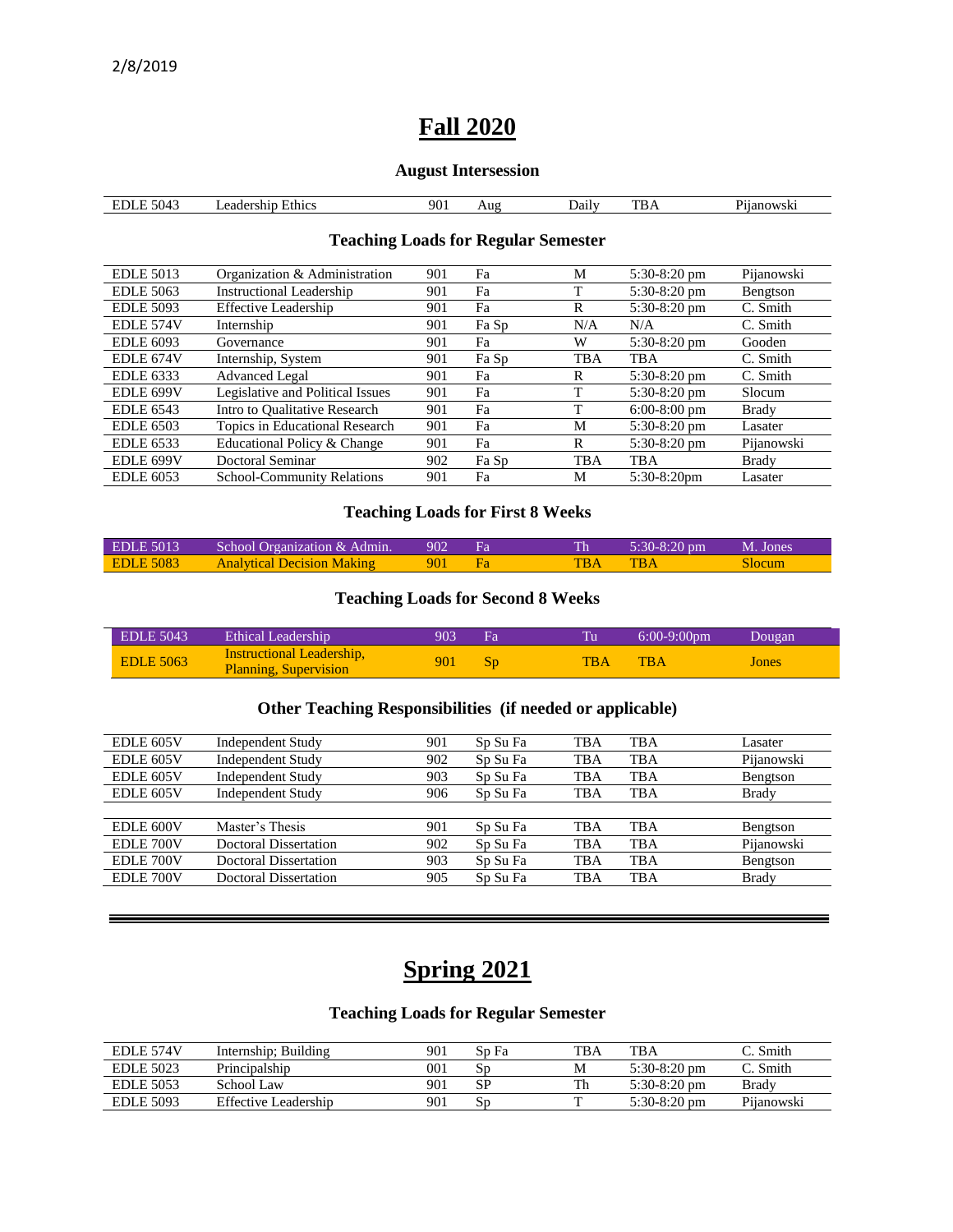## **Fall 2020**

#### **August Intersession**

| $\sim$<br>504<br>المتعاصر<br>.<br>.<br>т. | ±th1cs<br>.<br>eade<br>мн | 90 | Aug | . Jaily<br>$\mathcal{A}$ | <b>CONTRACT</b><br>DA | $200W$ SK.<br>- 16 |
|-------------------------------------------|---------------------------|----|-----|--------------------------|-----------------------|--------------------|
|                                           |                           |    |     |                          |                       |                    |

### **Teaching Loads for Regular Semester**

| <b>EDLE 5013</b> | Organization & Administration     | 901 | Fa    | M          | $5:30-8:20$ pm | Pijanowski |
|------------------|-----------------------------------|-----|-------|------------|----------------|------------|
| <b>EDLE 5063</b> | <b>Instructional Leadership</b>   | 901 | Fa    |            | $5:30-8:20$ pm | Bengtson   |
| <b>EDLE 5093</b> | <b>Effective Leadership</b>       | 901 | Fa    | R          | $5:30-8:20$ pm | C. Smith   |
| EDLE 574V        | Internship                        | 901 | Fa Sp | N/A        | N/A            | C. Smith   |
| <b>EDLE 6093</b> | Governance                        | 901 | Fa    | W          | $5:30-8:20$ pm | Gooden     |
| EDLE 674V        | Internship, System                | 901 | Fa Sp | <b>TBA</b> | <b>TBA</b>     | C. Smith   |
| <b>EDLE</b> 6333 | <b>Advanced Legal</b>             | 901 | Fa    | R          | $5:30-8:20$ pm | C. Smith   |
| EDLE 699V        | Legislative and Political Issues  | 901 | Fa    |            | $5:30-8:20$ pm | Slocum     |
| <b>EDLE 6543</b> | Intro to Oualitative Research     | 901 | Fa    |            | $6:00-8:00$ pm | Brady      |
| <b>EDLE 6503</b> | Topics in Educational Research    | 901 | Fa    | M          | 5:30-8:20 pm   | Lasater    |
| <b>EDLE 6533</b> | Educational Policy & Change       | 901 | Fa    | R          | $5:30-8:20$ pm | Pijanowski |
| EDLE 699V        | Doctoral Seminar                  | 902 | Fa Sp | TBA        | <b>TBA</b>     | Brady      |
| <b>EDLE 6053</b> | <b>School-Community Relations</b> | 901 | Fa    | М          | $5:30-8:20$ pm | Lasater    |

### **Teaching Loads for First 8 Weeks**

| EDLE 5013 | School Organization & Admin. 902 Fa |     |     | $5:30-8:20 \text{ pm}$ M. Jones |        |
|-----------|-------------------------------------|-----|-----|---------------------------------|--------|
| EDLE 5083 | <b>Analytical Decision Making</b>   | 901 | TBA | <b>TRA</b>                      | Slocum |

#### **Teaching Loads for Second 8 Weeks**

| $EDLE$ 5043      | Ethical Leadership                                               | 903 | Fа |            | $6:00-9:00$ pm | Dougan |
|------------------|------------------------------------------------------------------|-----|----|------------|----------------|--------|
| <b>EDLE 5063</b> | <b>Instructional Leadership,</b><br><b>Planning, Supervision</b> | 901 |    | <b>TBA</b> | <b>TBA</b>     | Jones  |

#### **Other Teaching Responsibilities (if needed or applicable)**

| EDLE 605V | <b>Independent Study</b> | 901 | Sp Su Fa | TBA        | <b>TBA</b> | Lasater      |
|-----------|--------------------------|-----|----------|------------|------------|--------------|
| EDLE 605V | <b>Independent Study</b> | 902 | Sp Su Fa | <b>TBA</b> | <b>TBA</b> | Pijanowski   |
| EDLE 605V | <b>Independent Study</b> | 903 | Sp Su Fa | <b>TBA</b> | <b>TBA</b> | Bengtson     |
| EDLE 605V | <b>Independent Study</b> | 906 | Sp Su Fa | <b>TBA</b> | <b>TBA</b> | Brady        |
|           |                          |     |          |            |            |              |
| EDLE 600V | Master's Thesis          | 901 | Sp Su Fa | <b>TBA</b> | <b>TBA</b> | Bengtson     |
| EDLE 700V | Doctoral Dissertation    | 902 | Sp Su Fa | <b>TBA</b> | <b>TBA</b> | Pijanowski   |
| EDLE 700V | Doctoral Dissertation    | 903 | Sp Su Fa | <b>TBA</b> | <b>TBA</b> | Bengtson     |
| EDLE 700V | Doctoral Dissertation    | 905 | Sp Su Fa | <b>TBA</b> | <b>TBA</b> | <b>Brady</b> |
|           |                          |     |          |            |            |              |

# **Spring 2021**

## **Teaching Loads for Regular Semester**

| <b>EDLE 574V</b> | Internship; Building | 901 | Sp Fa                   | TBA | <b>TBA</b>     | C. Smith   |
|------------------|----------------------|-----|-------------------------|-----|----------------|------------|
| <b>EDLE 5023</b> | Principalship        | 001 | $\mathbf{S} \mathbf{r}$ | Μ   | $5:30-8:20$ pm | Smith      |
| <b>EDLE 5053</b> | School Law           | 901 | SP                      | Th  | $5:30-8:20$ pm | Bradv      |
| <b>EDLE 5093</b> | Effective Leadership | 901 | SГ                      |     | $5:30-8:20$ pm | Pijanowski |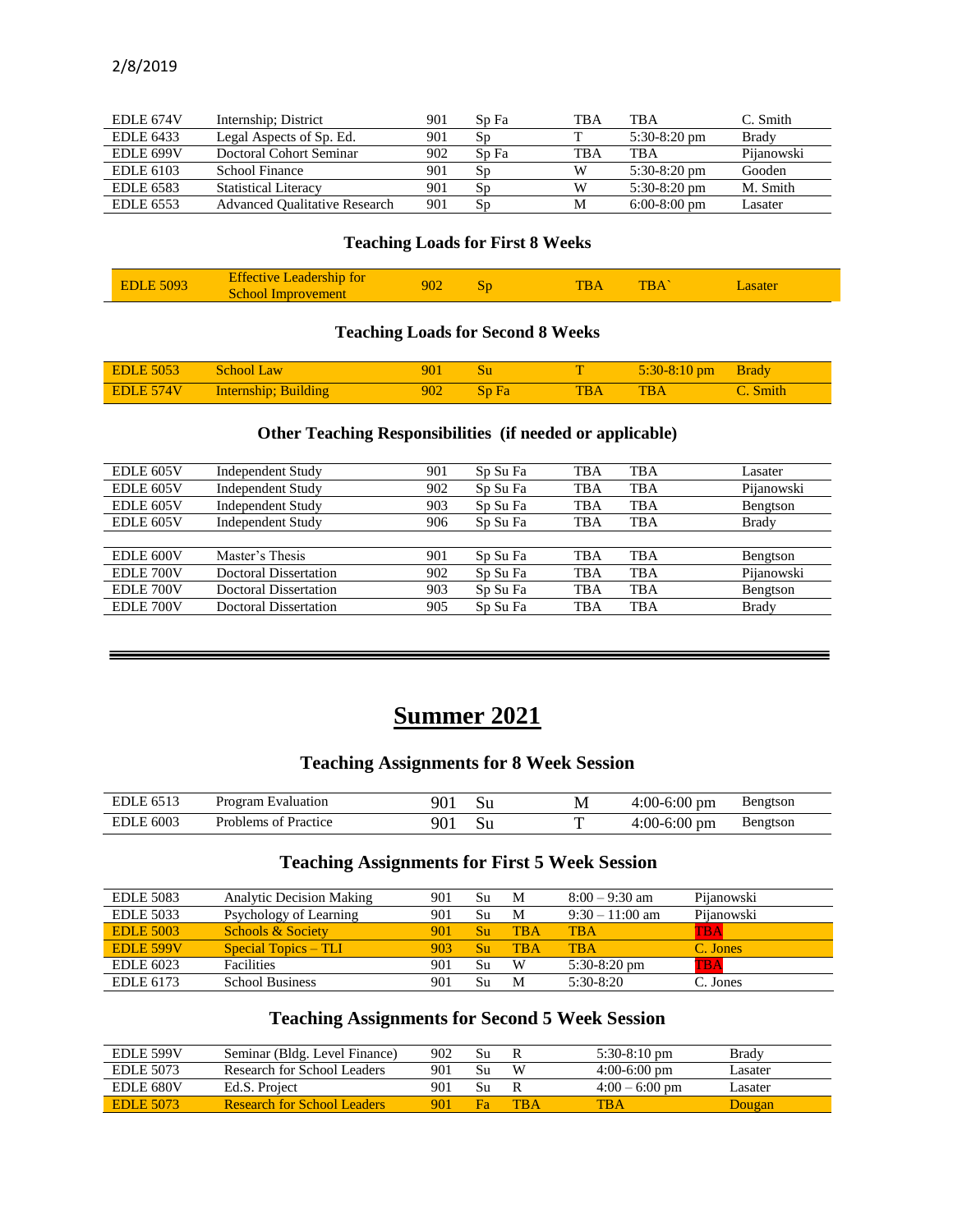| <b>EDLE 674V</b> | Internship; District                 | 901 | Sp Fa | TBA | <b>TBA</b>     | C. Smith   |
|------------------|--------------------------------------|-----|-------|-----|----------------|------------|
| EDLE 6433        | Legal Aspects of Sp. Ed.             | 901 | Sp    |     | $5:30-8:20$ pm | Brady      |
| EDLE 699V        | Doctoral Cohort Seminar              | 902 | Sp Fa | TBA | <b>TBA</b>     | Pijanowski |
| EDLE 6103        | School Finance                       | 901 | Sp    |     | $5:30-8:20$ pm | Gooden     |
| EDLE 6583        | <b>Statistical Literacy</b>          | 901 | Sp    |     | $5:30-8:20$ pm | M. Smith   |
| EDLE 6553        | <b>Advanced Qualitative Research</b> | 901 | Sp    | M   | $6:00-8:00$ pm | Lasater    |

#### **Teaching Loads for First 8 Weeks**

| 5093<br>ÆDLFZ | <b>Effective L</b><br><b>Leadership for</b><br>school<br><b>Improvement</b> | 902 | 50 | DА | <b>TBA</b> | <b>Lasater</b> |  |
|---------------|-----------------------------------------------------------------------------|-----|----|----|------------|----------------|--|
|---------------|-----------------------------------------------------------------------------|-----|----|----|------------|----------------|--|

## **Teaching Loads for Second 8 Weeks**

| <b>EDLE 5053</b> | <b>School Law</b>    | 901              |       |           | $5:30-8:10$ pm | <b>Brady</b> |
|------------------|----------------------|------------------|-------|-----------|----------------|--------------|
| EDLE 574V        | Internship; Building | 902 <sub>1</sub> | Sp Fa | <b>BA</b> | <b>TBA</b>     | Smith        |

#### **Other Teaching Responsibilities (if needed or applicable)**

| EDLE 605V | <b>Independent Study</b> | 901 | Sp Su Fa | <b>TBA</b> | <b>TBA</b> | Lasater      |
|-----------|--------------------------|-----|----------|------------|------------|--------------|
| EDLE 605V | <b>Independent Study</b> | 902 | Sp Su Fa | <b>TBA</b> | <b>TBA</b> | Pijanowski   |
| EDLE 605V | <b>Independent Study</b> | 903 | Sp Su Fa | <b>TBA</b> | <b>TBA</b> | Bengtson     |
| EDLE 605V | <b>Independent Study</b> | 906 | Sp Su Fa | TBA        | <b>TBA</b> | Brady        |
|           |                          |     |          |            |            |              |
| EDLE 600V | Master's Thesis          | 901 | Sp Su Fa | TBA        | TBA        | Bengtson     |
| EDLE 700V | Doctoral Dissertation    | 902 | Sp Su Fa | <b>TBA</b> | <b>TBA</b> | Pijanowski   |
| EDLE 700V | Doctoral Dissertation    | 903 | Sp Su Fa | TBA        | <b>TBA</b> | Bengtson     |
| EDLE 700V | Doctoral Dissertation    | 905 | Sp Su Fa | <b>TBA</b> | <b>TBA</b> | <b>Brady</b> |
|           |                          |     |          |            |            |              |

# **Summer 2021**

=

## **Teaching Assignments for 8 Week Session**

| EDLE 6513                                 | Program Evaluation                  | J١          | М | $4:00-6:00$ pm | Bengtson |
|-------------------------------------------|-------------------------------------|-------------|---|----------------|----------|
| 2 600?<br>$\overline{\phantom{0}}$<br>EDI | <b>Problems</b><br>Practice<br>. nt | ar<br>, v 1 |   | 4:00-6:00 pm   | Bengtson |

## **Teaching Assignments for First 5 Week Session**

| <b>EDLE 5083</b> | <b>Analytic Decision Making</b> | 901 | Su | M   | $8:00 - 9:30$ am  | Pijanowski   |
|------------------|---------------------------------|-----|----|-----|-------------------|--------------|
| <b>EDLE 5033</b> | Psychology of Learning          | 901 | Su | M   | $9:30 - 11:00$ am | Pijanowski   |
| <b>EDLE 5003</b> | <b>Schools &amp; Society</b>    | 901 | Su | TBA | <b>TBA</b>        | TBA          |
| EDLE 599V        | <b>Special Topics – TLI</b>     | 903 | Su | TRA | <b>TRA</b>        | C. Jones     |
| EDLE 6023        | <b>Facilities</b>               | 901 | Su | W   | $5:30-8:20$ pm    | $_{\rm TBA}$ |
| EDLE 6173        | <b>School Business</b>          | 901 | Su | M   | $5:30-8:20$       | C. Jones     |

## **Teaching Assignments for Second 5 Week Session**

| EDLE 599V        | Seminar (Bldg. Level Finance)      | 902 | Su |            | $5:30-8:10$ pm   | Brady  |
|------------------|------------------------------------|-----|----|------------|------------------|--------|
| EDLE 5073        | Research for School Leaders        | 901 |    | W          | $4:00-6:00$ pm   | asater |
| <b>EDLE 680V</b> | Ed.S. Project                      | 901 | Su |            | $4:00 - 6:00$ pm | asater |
| <b>EDLE 5073</b> | <b>Research for School Leaders</b> | 901 |    | <b>TRA</b> | <b>TBA</b>       | Dougan |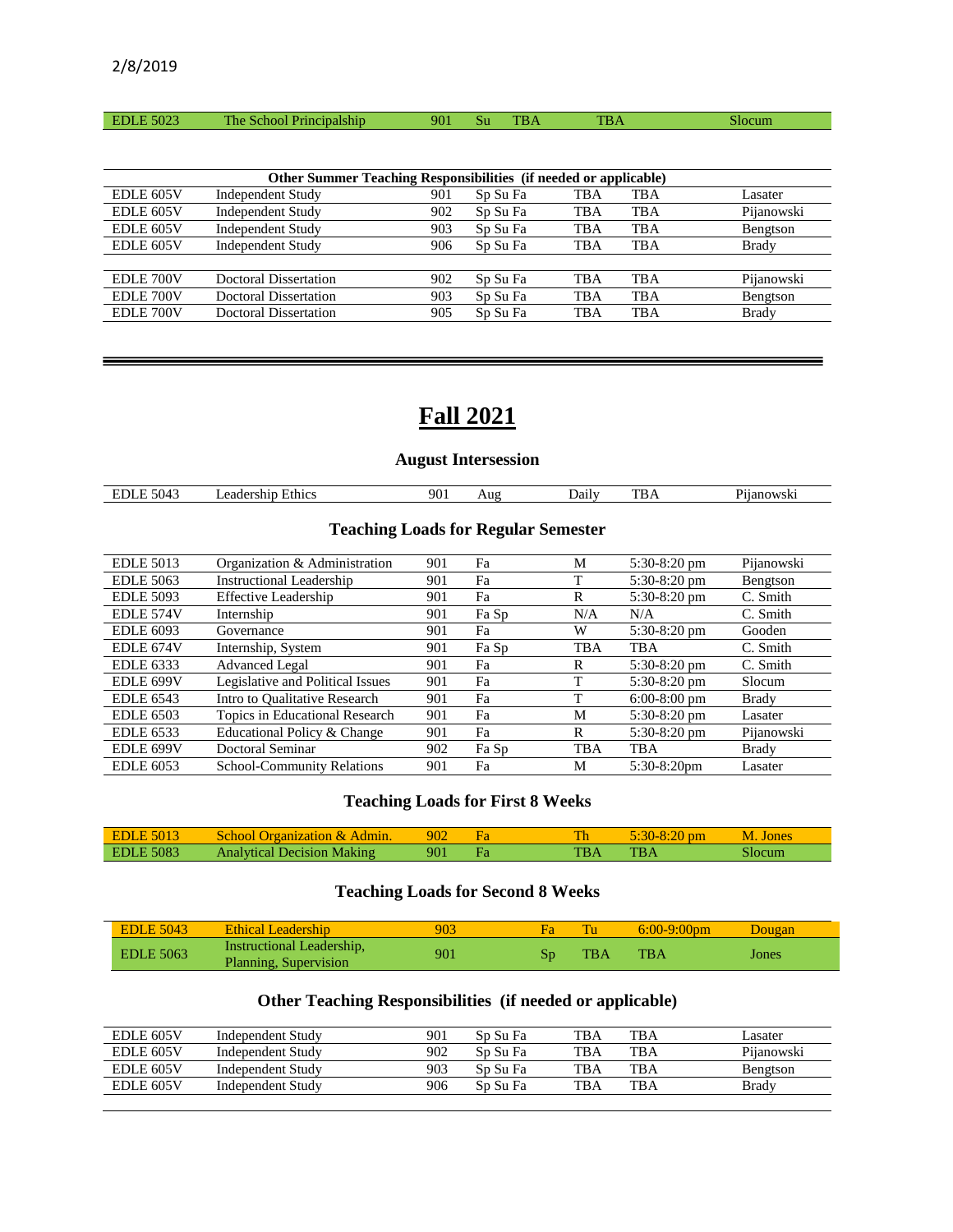|  | $F\cap\cap\cap$<br>ĐТ<br>5023 | The T<br>SCHOOL<br>THICIDAISHID | 901 | ้วเ | mm | <b>TIDA</b><br>$1 \text{D} \Delta$ |  |
|--|-------------------------------|---------------------------------|-----|-----|----|------------------------------------|--|
|--|-------------------------------|---------------------------------|-----|-----|----|------------------------------------|--|

|           | Other Summer Teaching Responsibilities (if needed or applicable) |     |          |     |     |              |
|-----------|------------------------------------------------------------------|-----|----------|-----|-----|--------------|
| EDLE 605V | <b>Independent Study</b>                                         | 901 | Sp Su Fa | TBA | TBA | Lasater      |
| EDLE 605V | <b>Independent Study</b>                                         | 902 | Sp Su Fa | TBA | TBA | Pijanowski   |
| EDLE 605V | <b>Independent Study</b>                                         | 903 | Sp Su Fa | TBA | TBA | Bengtson     |
| EDLE 605V | <b>Independent Study</b>                                         | 906 | Sp Su Fa | TBA | TBA | Brady        |
|           |                                                                  |     |          |     |     |              |
| EDLE 700V | Doctoral Dissertation                                            | 902 | Sp Su Fa | TBA | TBA | Pijanowski   |
| EDLE 700V | Doctoral Dissertation                                            | 903 | Sp Su Fa | TBA | TBA | Bengtson     |
| EDLE 700V | Doctoral Dissertation                                            | 905 | Sp Su Fa | TBA | TBA | <b>Brady</b> |
|           |                                                                  |     |          |     |     |              |

# **Fall 2021**

## **August Intersession**

| . .<br>71 I.A<br>مستعد<br>$\cdot$ | 5100<br>``<br>n<br>∽н<br>,,,, | 90.<br>___ | Jaily | $\sim$ | $ \cdot$<br>ъm |
|-----------------------------------|-------------------------------|------------|-------|--------|----------------|
|                                   |                               |            |       |        |                |

## **Teaching Loads for Regular Semester**

| <b>EDLE 5013</b> | Organization & Administration    | 901 | Fa    | М   | $5:30-8:20$ pm | Pijanowski   |
|------------------|----------------------------------|-----|-------|-----|----------------|--------------|
| <b>EDLE 5063</b> | <b>Instructional Leadership</b>  | 901 | Fa    |     | $5:30-8:20$ pm | Bengtson     |
| <b>EDLE 5093</b> | <b>Effective Leadership</b>      | 901 | Fa    | R   | $5:30-8:20$ pm | C. Smith     |
| EDLE 574V        | Internship                       | 901 | Fa Sp | N/A | N/A            | C. Smith     |
| <b>EDLE 6093</b> | Governance                       | 901 | Fa    | W   | $5:30-8:20$ pm | Gooden       |
| EDLE 674V        | Internship, System               | 901 | Fa Sp | TBA | <b>TBA</b>     | C. Smith     |
| <b>EDLE 6333</b> | <b>Advanced Legal</b>            | 901 | Fa    | R   | $5:30-8:20$ pm | C. Smith     |
| EDLE 699V        | Legislative and Political Issues | 901 | Fa    | m   | $5:30-8:20$ pm | Slocum       |
| <b>EDLE 6543</b> | Intro to Qualitative Research    | 901 | Fa    | Т   | $6:00-8:00$ pm | <b>Brady</b> |
| <b>EDLE 6503</b> | Topics in Educational Research   | 901 | Fa    | M   | 5:30-8:20 pm   | Lasater      |
| <b>EDLE</b> 6533 | Educational Policy & Change      | 901 | Fa    | R   | $5:30-8:20$ pm | Pijanowski   |
| EDLE 699V        | Doctoral Seminar                 | 902 | Fa Sp | TBA | TBA            | Brady        |
| <b>EDLE 6053</b> | School-Community Relations       | 901 | Fa    | M   | $5:30-8:20$ pm | Lasater      |

#### **Teaching Loads for First 8 Weeks**

| <b>EDLE 5013</b> | School Organization & Admin.      | 902 | Th         | $5:30-8:20$ pm | M. Jones |
|------------------|-----------------------------------|-----|------------|----------------|----------|
| <b>EDLE 5083</b> | <b>Analytical Decision Making</b> | 901 | <b>TBA</b> | <b>TBA</b>     | Slocum   |

## **Teaching Loads for Second 8 Weeks**

| <b>EDLE 5043</b> | Ethical Leadership                                 | 903 | <b>Fa</b> |            | $6:00-9:00$ pm | Dougan |
|------------------|----------------------------------------------------|-----|-----------|------------|----------------|--------|
| <b>EDLE 5063</b> | Instructional Leadership,<br>Planning, Supervision | 901 | Sn        | <b>TBA</b> | $_{\rm TBA}$   | Jones  |

## **Other Teaching Responsibilities (if needed or applicable)**

| <b>TBA</b><br>902<br>TBA<br><b>EDLE 605V</b><br>Sp Su Fa<br>Independent Study        | Pijanowski |
|--------------------------------------------------------------------------------------|------------|
|                                                                                      |            |
| 903<br>TBA<br>TBA<br><b>EDLE 605V</b><br>Independent Study<br>Sn Su Fa               | Bengtson   |
| <b>TBA</b><br><b>TBA</b><br>906<br><b>EDLE 605V</b><br>Sp Su Fa<br>Independent Study | Brady      |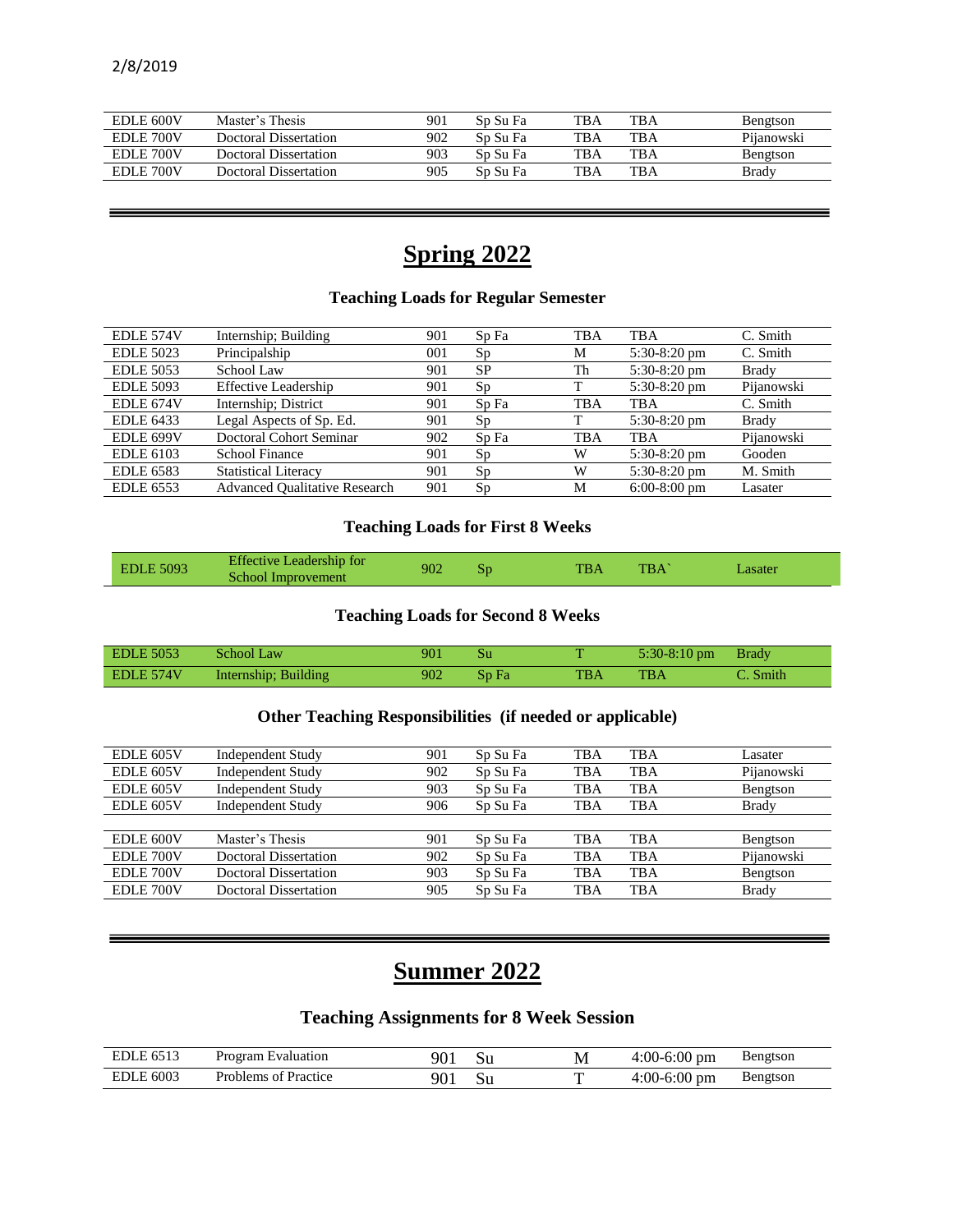| <b>EDLE 600V</b> | Master's Thesis       | 901 | Sp Su Fa | TBA | <b>TBA</b> | Bengtson   |
|------------------|-----------------------|-----|----------|-----|------------|------------|
| EDLE 700V        | Doctoral Dissertation | 902 | Sp Su Fa | TBA | <b>TBA</b> | Pijanowski |
| EDLE 700V        | Doctoral Dissertation | 903 | Sp Su Fa | TBA | <b>TBA</b> | Bengtson   |
| EDLE 700V        | Doctoral Dissertation | 905 | Sp Su Fa | TBA | <b>TBA</b> | Brady      |

# **Spring 2022**

## **Teaching Loads for Regular Semester**

| Internship; Building                 | 901 | Sp Fa     | <b>TBA</b> | <b>TBA</b>     | C. Smith     |
|--------------------------------------|-----|-----------|------------|----------------|--------------|
| Principalship                        | 001 | Sp        | M          | $5:30-8:20$ pm | C. Smith     |
| School Law                           | 901 | <b>SP</b> | Th         | $5:30-8:20$ pm | <b>Brady</b> |
| <b>Effective Leadership</b>          | 901 | Sp        |            | 5:30-8:20 pm   | Pijanowski   |
| Internship; District                 | 901 | Sp Fa     | TBA        | TBA            | C. Smith     |
| Legal Aspects of Sp. Ed.             | 901 | Sp        | т          | $5:30-8:20$ pm | Brady        |
| Doctoral Cohort Seminar              | 902 | Sp Fa     | TBA        | TBA            | Pijanowski   |
| School Finance                       | 901 | Sp        | W          | $5:30-8:20$ pm | Gooden       |
| <b>Statistical Literacy</b>          | 901 | Sp        | W          | $5:30-8:20$ pm | M. Smith     |
| <b>Advanced Oualitative Research</b> | 901 | Sp        | M          | $6:00-8:00$ pm | Lasater      |
|                                      |     |           |            |                |              |

## **Teaching Loads for First 8 Weeks**

| <b>EDLE 5093</b> | <b>Effective Leadership for</b> | 902 |    | <b>TBA</b> | TBA |         |
|------------------|---------------------------------|-----|----|------------|-----|---------|
|                  | School Improvement              |     | Sp |            |     | Lasater |

#### **Teaching Loads for Second 8 Weeks**

| <b>EDLE 5053</b> | School Law           | 901     | – Su         |     | $5:30-8:10 \text{ pm}$ Brady |          |
|------------------|----------------------|---------|--------------|-----|------------------------------|----------|
| EDLE 574V        | Internship; Building | $902 -$ | $\sum$ Sp Fa | TBA | <b>TBA</b>                   | C. Smith |

## **Other Teaching Responsibilities (if needed or applicable)**

| EDLE 605V | Independent Study            | 901 | Sp Su Fa | TBA        | <b>TBA</b> | Lasater      |
|-----------|------------------------------|-----|----------|------------|------------|--------------|
| EDLE 605V | <b>Independent Study</b>     | 902 | Sp Su Fa | <b>TBA</b> | <b>TBA</b> | Pijanowski   |
| EDLE 605V | <b>Independent Study</b>     | 903 | Sp Su Fa | TBA        | <b>TBA</b> | Bengtson     |
| EDLE 605V | <b>Independent Study</b>     | 906 | Sp Su Fa | TBA        | <b>TBA</b> | <b>Brady</b> |
|           |                              |     |          |            |            |              |
| EDLE 600V | Master's Thesis              | 901 | Sp Su Fa | TBA        | <b>TBA</b> | Bengtson     |
| EDLE 700V | Doctoral Dissertation        | 902 | Sp Su Fa | <b>TBA</b> | <b>TBA</b> | Pijanowski   |
| EDLE 700V | <b>Doctoral Dissertation</b> | 903 | Sp Su Fa | TBA        | <b>TBA</b> | Bengtson     |
| EDLE 700V | <b>Doctoral Dissertation</b> | 905 | Sp Su Fa | TBA        | <b>TBA</b> | <b>Brady</b> |
|           |                              |     |          |            |            |              |

# **Summer 2022**

## **Teaching Assignments for 8 Week Session**

| <b>EDLE 6513</b> | Program Evaluation           | ാറ് | M | $4:00-6:00$ pm | Bengtson |
|------------------|------------------------------|-----|---|----------------|----------|
| <b>EDLE 6003</b> | Practice<br>Problems<br>. nt | 90. |   | $4:00-6:00$ pm | Bengtson |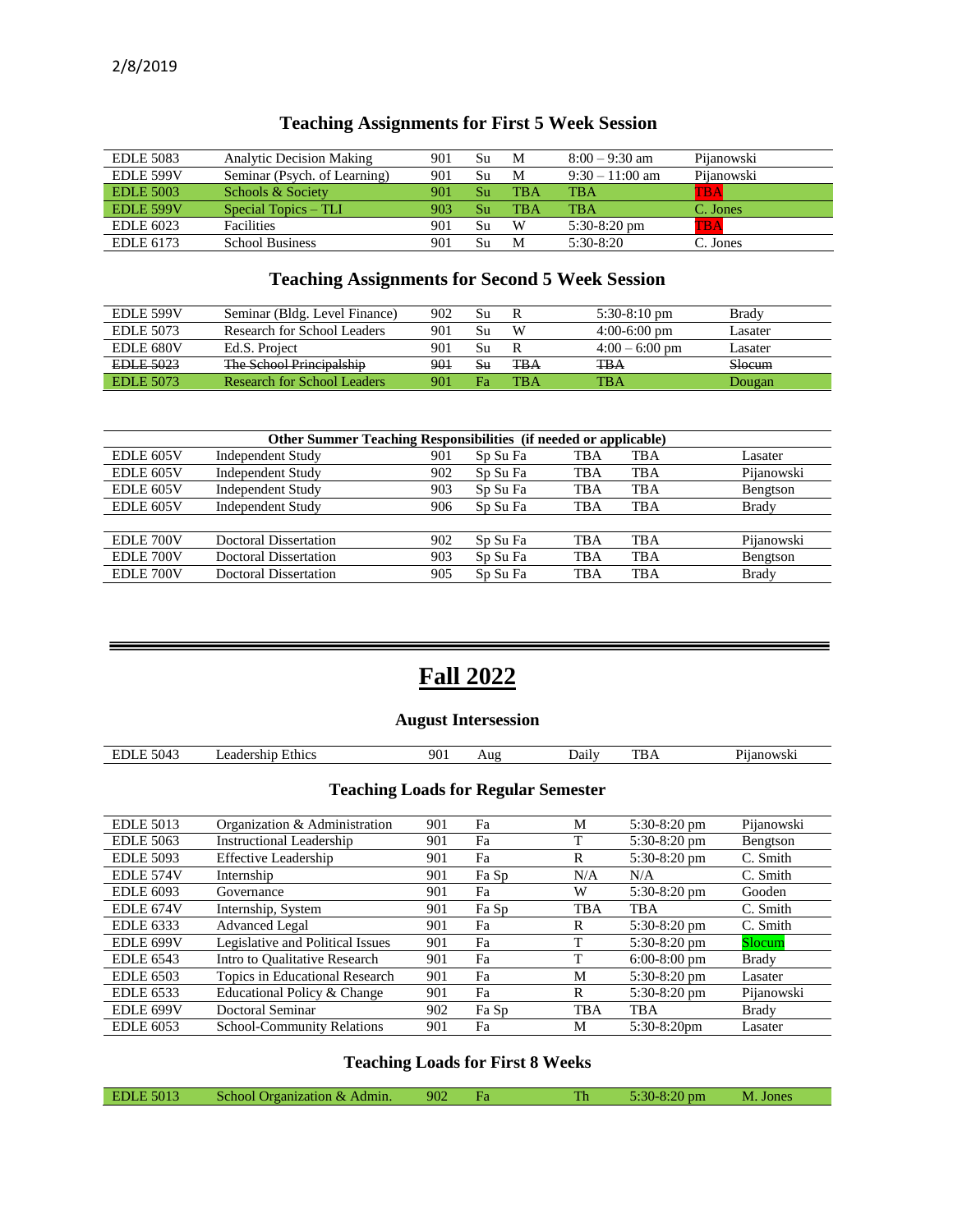| <b>EDLE 5083</b> | <b>Analytic Decision Making</b> | 901 | Su | M          | $8:00 - 9:30$ am  | Pijanowski |
|------------------|---------------------------------|-----|----|------------|-------------------|------------|
| EDLE 599V        | Seminar (Psych. of Learning)    | 901 | Su | M          | $9:30 - 11:00$ am | Pijanowski |
| <b>EDLE 5003</b> | Schools & Society               | 901 | Su | <b>TBA</b> | <b>TBA</b>        | TBA        |
| EDLE 599V        | Special Topics – TLI            | 903 | Su | <b>TBA</b> | <b>TBA</b>        | C. Jones   |
| <b>EDLE 6023</b> | <b>Facilities</b>               | 901 | Su | W          | $5:30-8:20$ pm    | TBA        |
| EDLE 6173        | <b>School Business</b>          | 901 | Su | M          | $5:30-8:20$       | C. Jones   |

## **Teaching Assignments for First 5 Week Session**

## **Teaching Assignments for Second 5 Week Session**

| <b>EDLE 599V</b> | Seminar (Bldg. Level Finance)                         | 902 | Su |            | $5:30-8:10$ pm   | Brady   |
|------------------|-------------------------------------------------------|-----|----|------------|------------------|---------|
| EDLE 5073        | Research for School Leaders                           | 901 | Su | W          | $4:00-6:00$ pm   | asater  |
| <b>EDLE 680V</b> | Ed.S. Project                                         | 901 | Su |            | $4:00 - 6:00$ pm | Lasater |
| <b>EDLE 5023</b> | The School Dringipalchin<br>1110 DCDOT 11111010000110 | 901 | Sц | ŦBA        | TBA              | Slocum  |
| <b>EDLE 5073</b> | Research for School Leaders                           | 901 | Ŧа | <b>TBA</b> | TBA              | Dougan  |

| <b>Other Summer Teaching Responsibilities</b> (if needed or applicable) |                              |     |          |            |     |              |  |  |  |
|-------------------------------------------------------------------------|------------------------------|-----|----------|------------|-----|--------------|--|--|--|
| EDLE 605V                                                               | <b>Independent Study</b>     | 901 | Sp Su Fa | TBA        | TBA | Lasater      |  |  |  |
| EDLE 605V                                                               | <b>Independent Study</b>     | 902 | Sp Su Fa | TBA        | TBA | Pijanowski   |  |  |  |
| EDLE 605V                                                               | <b>Independent Study</b>     | 903 | Sp Su Fa | TBA        | TBA | Bengtson     |  |  |  |
| EDLE 605V                                                               | <b>Independent Study</b>     | 906 | Sp Su Fa | TBA        | TBA | Brady        |  |  |  |
|                                                                         |                              |     |          |            |     |              |  |  |  |
| EDLE 700V                                                               | <b>Doctoral Dissertation</b> | 902 | Sp Su Fa | <b>TBA</b> | TBA | Pijanowski   |  |  |  |
| EDLE 700V                                                               | <b>Doctoral Dissertation</b> | 903 | Sp Su Fa | <b>TBA</b> | TBA | Bengtson     |  |  |  |
| EDLE 700V                                                               | <b>Doctoral Dissertation</b> | 905 | Sp Su Fa | <b>TBA</b> | TBA | <b>Brady</b> |  |  |  |

# **Fall 2022**

## **August Intersession**

| $\sim$<br>504<br>ЕL<br>т.,<br>$\overline{\phantom{a}}$ | thics<br>eа<br>$\overline{\phantom{a}}$ | 901 | Aug | $D$ aily | тn<br>1 D A | T.<br>: 7 C<br>''WSK |
|--------------------------------------------------------|-----------------------------------------|-----|-----|----------|-------------|----------------------|
|                                                        |                                         |     |     |          |             |                      |

## **Teaching Loads for Regular Semester**

| <b>EDLE 5013</b> | Organization & Administration     | 901 | Fa    | М          | $5:30-8:20$ pm | Pijanowski   |
|------------------|-----------------------------------|-----|-------|------------|----------------|--------------|
| <b>EDLE 5063</b> | <b>Instructional Leadership</b>   | 901 | Fa    |            | $5:30-8:20$ pm | Bengtson     |
| <b>EDLE 5093</b> | <b>Effective Leadership</b>       | 901 | Fa    | R          | $5:30-8:20$ pm | C. Smith     |
| EDLE 574V        | Internship                        | 901 | Fa Sp | N/A        | N/A            | C. Smith     |
| <b>EDLE 6093</b> | Governance                        | 901 | Fa    | W          | $5:30-8:20$ pm | Gooden       |
| EDLE 674V        | Internship, System                | 901 | Fa Sp | TBA        | TBA            | C. Smith     |
| <b>EDLE</b> 6333 | <b>Advanced Legal</b>             | 901 | Fa    | R          | $5:30-8:20$ pm | C. Smith     |
| EDLE 699V        | Legislative and Political Issues  | 901 | Fa    |            | $5:30-8:20$ pm | Slocum       |
| <b>EDLE 6543</b> | Intro to Qualitative Research     | 901 | Fa    | т          | $6:00-8:00$ pm | <b>Brady</b> |
| <b>EDLE 6503</b> | Topics in Educational Research    | 901 | Fa    | М          | $5:30-8:20$ pm | Lasater      |
| <b>EDLE</b> 6533 | Educational Policy & Change       | 901 | Fa    | R          | $5:30-8:20$ pm | Pijanowski   |
| EDLE 699V        | <b>Doctoral Seminar</b>           | 902 | Fa Sp | <b>TBA</b> | TBA            | <b>Brady</b> |
| <b>EDLE 6053</b> | <b>School-Community Relations</b> | 901 | Fa    | M          | $5:30-8:20$ pm | Lasater      |

## **Teaching Loads for First 8 Weeks**

| E 5013<br>EDI<br>Admin.<br>School<br>roanization<br>$\alpha$ | 902 | . . | Th | 77<br>pm<br>$\sim$ $-0.4$ | Jones<br>M |  |
|--------------------------------------------------------------|-----|-----|----|---------------------------|------------|--|
|--------------------------------------------------------------|-----|-----|----|---------------------------|------------|--|